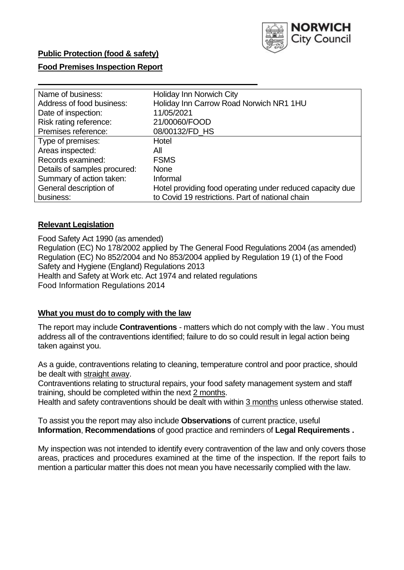

### **Food Premises Inspection Report**

| Name of business:            | <b>Holiday Inn Norwich City</b>                           |
|------------------------------|-----------------------------------------------------------|
| Address of food business:    | Holiday Inn Carrow Road Norwich NR1 1HU                   |
| Date of inspection:          | 11/05/2021                                                |
| Risk rating reference:       | 21/00060/FOOD                                             |
| Premises reference:          | 08/00132/FD_HS                                            |
| Type of premises:            | Hotel                                                     |
| Areas inspected:             | All                                                       |
| Records examined:            | <b>FSMS</b>                                               |
| Details of samples procured: | <b>None</b>                                               |
| Summary of action taken:     | Informal                                                  |
| General description of       | Hotel providing food operating under reduced capacity due |
| business:                    | to Covid 19 restrictions. Part of national chain          |

### **Relevant Legislation**

 Food Safety Act 1990 (as amended) Regulation (EC) No 178/2002 applied by The General Food Regulations 2004 (as amended) Regulation (EC) No 852/2004 and No 853/2004 applied by Regulation 19 (1) of the Food Safety and Hygiene (England) Regulations 2013 Health and Safety at Work etc. Act 1974 and related regulations Food Information Regulations 2014

### **What you must do to comply with the law**

 The report may include **Contraventions** - matters which do not comply with the law . You must address all of the contraventions identified; failure to do so could result in legal action being taken against you.

 As a guide, contraventions relating to cleaning, temperature control and poor practice, should be dealt with straight away.

 Contraventions relating to structural repairs, your food safety management system and staff training, should be completed within the next 2 months.

Health and safety contraventions should be dealt with within 3 months unless otherwise stated.

 To assist you the report may also include **Observations** of current practice, useful **Information**, **Recommendations** of good practice and reminders of **Legal Requirements .** 

 My inspection was not intended to identify every contravention of the law and only covers those areas, practices and procedures examined at the time of the inspection. If the report fails to mention a particular matter this does not mean you have necessarily complied with the law.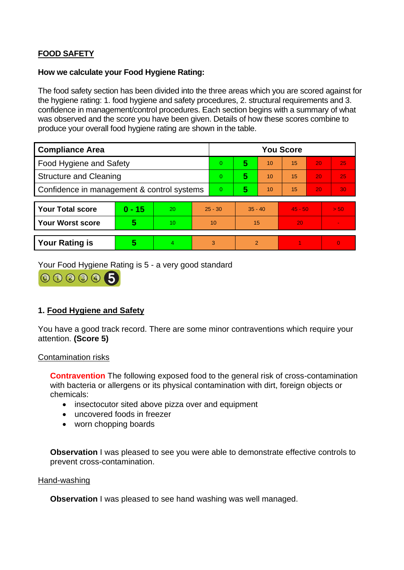# **FOOD SAFETY**

### **How we calculate your Food Hygiene Rating:**

 The food safety section has been divided into the three areas which you are scored against for the hygiene rating: 1. food hygiene and safety procedures, 2. structural requirements and 3. confidence in management/control procedures. Each section begins with a summary of what was observed and the score you have been given. Details of how these scores combine to produce your overall food hygiene rating are shown in the table.

| <b>Compliance Area</b>                     |          |    |           | <b>You Score</b> |           |                |           |    |                |  |  |
|--------------------------------------------|----------|----|-----------|------------------|-----------|----------------|-----------|----|----------------|--|--|
| Food Hygiene and Safety                    |          |    | $\Omega$  | 5                | 10        | 15             | 20        | 25 |                |  |  |
| <b>Structure and Cleaning</b>              |          |    | $\Omega$  | 5                | 10        | 15             | 20        | 25 |                |  |  |
| Confidence in management & control systems |          |    | $\Omega$  | 5                | 10        | 15             | 20        | 30 |                |  |  |
|                                            |          |    |           |                  |           |                |           |    |                |  |  |
| <b>Your Total score</b>                    | $0 - 15$ | 20 | $25 - 30$ |                  | $35 - 40$ |                | $45 - 50$ |    | > 50           |  |  |
| <b>Your Worst score</b>                    | 5        | 10 | 10        |                  | 15        |                | 20        |    | $\blacksquare$ |  |  |
|                                            |          |    |           |                  |           |                |           |    |                |  |  |
| <b>Your Rating is</b>                      | 5        |    |           | 3                |           | $\overline{2}$ |           |    | $\overline{0}$ |  |  |

Your Food Hygiene Rating is 5 - a very good standard

000005

# **1. Food Hygiene and Safety**

 You have a good track record. There are some minor contraventions which require your attention. **(Score 5)** 

#### Contamination risks

 **Contravention** The following exposed food to the general risk of cross-contamination with bacteria or allergens or its physical contamination with dirt, foreign objects or chemicals:

- insectocutor sited above pizza over and equipment
- uncovered foods in freezer
- worn chopping boards

**Observation** I was pleased to see you were able to demonstrate effective controls to prevent cross-contamination.

#### Hand-washing

**Observation** I was pleased to see hand washing was well managed.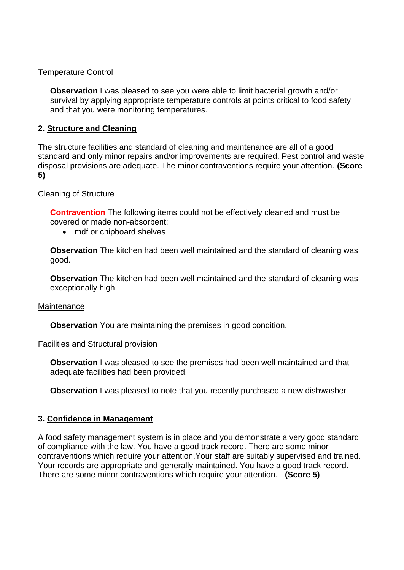### Temperature Control

**Observation** I was pleased to see you were able to limit bacterial growth and/or survival by applying appropriate temperature controls at points critical to food safety and that you were monitoring temperatures.

## **2. Structure and Cleaning**

 The structure facilities and standard of cleaning and maintenance are all of a good standard and only minor repairs and/or improvements are required. Pest control and waste disposal provisions are adequate. The minor contraventions require your attention. **(Score 5)** 

### Cleaning of Structure

 **Contravention** The following items could not be effectively cleaned and must be covered or made non-absorbent:

• mdf or chipboard shelves

 **Observation** The kitchen had been well maintained and the standard of cleaning was good.

 **Observation** The kitchen had been well maintained and the standard of cleaning was exceptionally high.

### **Maintenance**

**Observation** You are maintaining the premises in good condition.

### Facilities and Structural provision

 **Observation** I was pleased to see the premises had been well maintained and that adequate facilities had been provided.

**Observation** I was pleased to note that you recently purchased a new dishwasher

# **3. Confidence in Management**

 Your records are appropriate and generally maintained. You have a good track record. A food safety management system is in place and you demonstrate a very good standard of compliance with the law. You have a good track record. There are some minor contraventions which require your attention.Your staff are suitably supervised and trained. There are some minor contraventions which require your attention. **(Score 5)**